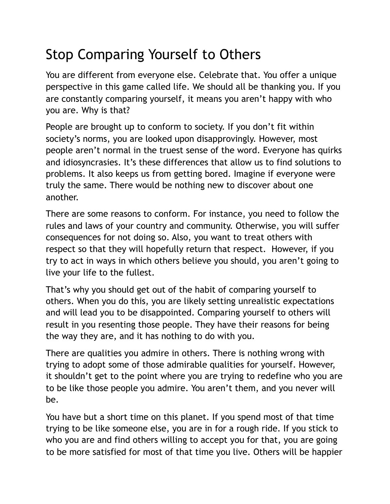## Stop Comparing Yourself to Others

You are different from everyone else. Celebrate that. You offer a unique perspective in this game called life. We should all be thanking you. If you are constantly comparing yourself, it means you aren't happy with who you are. Why is that?

People are brought up to conform to society. If you don't fit within society's norms, you are looked upon disapprovingly. However, most people aren't normal in the truest sense of the word. Everyone has quirks and idiosyncrasies. It's these differences that allow us to find solutions to problems. It also keeps us from getting bored. Imagine if everyone were truly the same. There would be nothing new to discover about one another.

There are some reasons to conform. For instance, you need to follow the rules and laws of your country and community. Otherwise, you will suffer consequences for not doing so. Also, you want to treat others with respect so that they will hopefully return that respect. However, if you try to act in ways in which others believe you should, you aren't going to live your life to the fullest.

That's why you should get out of the habit of comparing yourself to others. When you do this, you are likely setting unrealistic expectations and will lead you to be disappointed. Comparing yourself to others will result in you resenting those people. They have their reasons for being the way they are, and it has nothing to do with you.

There are qualities you admire in others. There is nothing wrong with trying to adopt some of those admirable qualities for yourself. However, it shouldn't get to the point where you are trying to redefine who you are to be like those people you admire. You aren't them, and you never will be.

You have but a short time on this planet. If you spend most of that time trying to be like someone else, you are in for a rough ride. If you stick to who you are and find others willing to accept you for that, you are going to be more satisfied for most of that time you live. Others will be happier